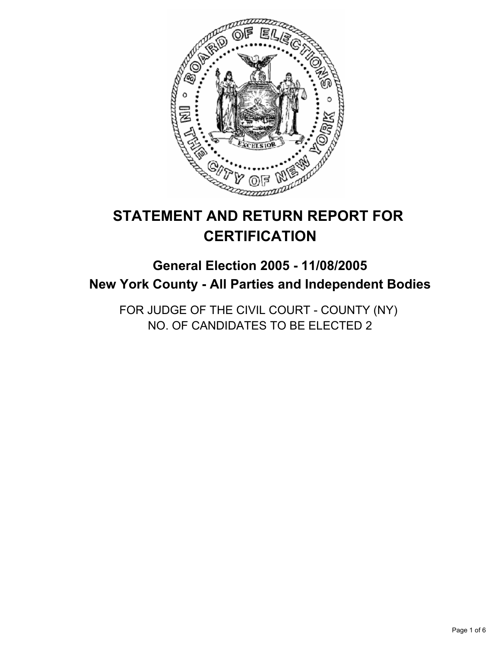

# **STATEMENT AND RETURN REPORT FOR CERTIFICATION**

## **General Election 2005 - 11/08/2005 New York County - All Parties and Independent Bodies**

FOR JUDGE OF THE CIVIL COURT - COUNTY (NY) NO. OF CANDIDATES TO BE ELECTED 2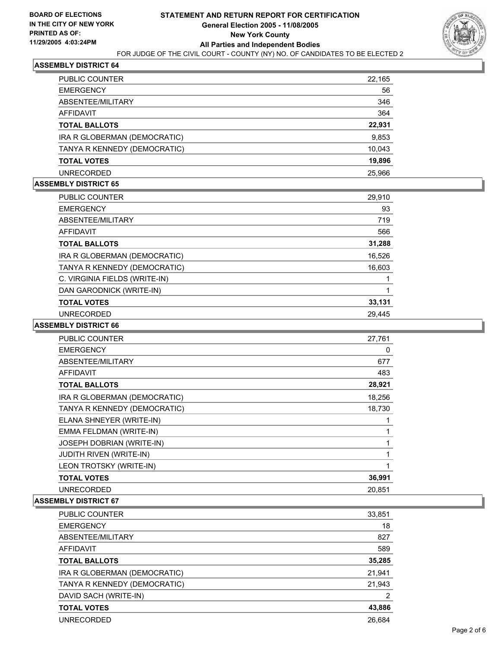

| <b>PUBLIC COUNTER</b>        | 22,165 |
|------------------------------|--------|
| <b>EMERGENCY</b>             | 56     |
| ABSENTEE/MILITARY            | 346    |
| AFFIDAVIT                    | 364    |
| <b>TOTAL BALLOTS</b>         | 22,931 |
| IRA R GLOBERMAN (DEMOCRATIC) | 9,853  |
| TANYA R KENNEDY (DEMOCRATIC) | 10,043 |
| <b>TOTAL VOTES</b>           | 19,896 |
| <b>UNRECORDED</b>            | 25.966 |

#### **ASSEMBLY DISTRICT 65**

| <b>PUBLIC COUNTER</b>         | 29,910 |
|-------------------------------|--------|
| <b>EMERGENCY</b>              | 93     |
| ABSENTEE/MILITARY             | 719    |
| <b>AFFIDAVIT</b>              | 566    |
| <b>TOTAL BALLOTS</b>          | 31,288 |
| IRA R GLOBERMAN (DEMOCRATIC)  | 16,526 |
| TANYA R KENNEDY (DEMOCRATIC)  | 16,603 |
| C. VIRGINIA FIELDS (WRITE-IN) |        |
| DAN GARODNICK (WRITE-IN)      |        |
| <b>TOTAL VOTES</b>            | 33,131 |
| <b>UNRECORDED</b>             | 29.445 |

#### **ASSEMBLY DISTRICT 66**

| <b>PUBLIC COUNTER</b>          | 27,761 |
|--------------------------------|--------|
| <b>EMERGENCY</b>               | 0      |
| ABSENTEE/MILITARY              | 677    |
| <b>AFFIDAVIT</b>               | 483    |
| <b>TOTAL BALLOTS</b>           | 28,921 |
| IRA R GLOBERMAN (DEMOCRATIC)   | 18,256 |
| TANYA R KENNEDY (DEMOCRATIC)   | 18,730 |
| ELANA SHNEYER (WRITE-IN)       |        |
| EMMA FELDMAN (WRITE-IN)        |        |
| JOSEPH DOBRIAN (WRITE-IN)      |        |
| <b>JUDITH RIVEN (WRITE-IN)</b> |        |
| LEON TROTSKY (WRITE-IN)        |        |
| <b>TOTAL VOTES</b>             | 36,991 |
| <b>UNRECORDED</b>              | 20,851 |

| PUBLIC COUNTER               | 33,851 |
|------------------------------|--------|
| <b>EMERGENCY</b>             | 18     |
| ABSENTEE/MILITARY            | 827    |
| AFFIDAVIT                    | 589    |
| <b>TOTAL BALLOTS</b>         | 35,285 |
| IRA R GLOBERMAN (DEMOCRATIC) | 21,941 |
| TANYA R KENNEDY (DEMOCRATIC) | 21,943 |
| DAVID SACH (WRITE-IN)        | 2      |
| <b>TOTAL VOTES</b>           | 43,886 |
| <b>UNRECORDED</b>            | 26,684 |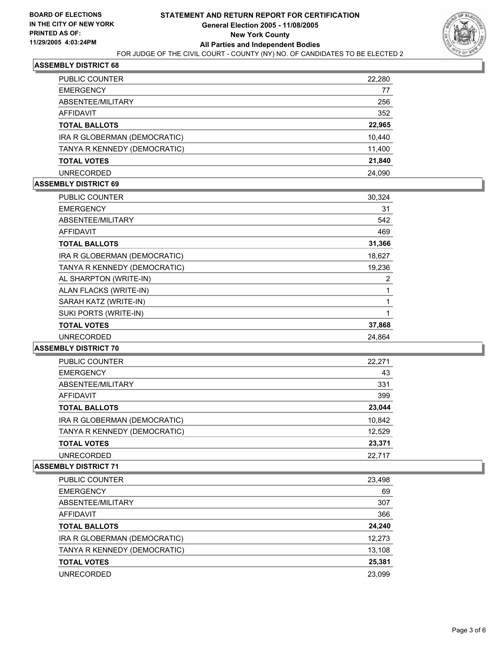

| PUBLIC COUNTER               | 22,280 |
|------------------------------|--------|
| <b>EMERGENCY</b>             | 77     |
| ABSENTEE/MILITARY            | 256    |
| AFFIDAVIT                    | 352    |
| <b>TOTAL BALLOTS</b>         | 22,965 |
| IRA R GLOBERMAN (DEMOCRATIC) | 10,440 |
| TANYA R KENNEDY (DEMOCRATIC) | 11,400 |
| <b>TOTAL VOTES</b>           | 21,840 |
| <b>UNRECORDED</b>            | 24.090 |

#### **ASSEMBLY DISTRICT 69**

| <b>PUBLIC COUNTER</b>        | 30,324 |
|------------------------------|--------|
| <b>EMERGENCY</b>             | 31     |
| ABSENTEE/MILITARY            | 542    |
| AFFIDAVIT                    | 469    |
| <b>TOTAL BALLOTS</b>         | 31,366 |
| IRA R GLOBERMAN (DEMOCRATIC) | 18,627 |
| TANYA R KENNEDY (DEMOCRATIC) | 19,236 |
| AL SHARPTON (WRITE-IN)       | 2      |
| ALAN FLACKS (WRITE-IN)       |        |
| SARAH KATZ (WRITE-IN)        |        |
| SUKI PORTS (WRITE-IN)        |        |
| <b>TOTAL VOTES</b>           | 37,868 |
| <b>UNRECORDED</b>            | 24,864 |
|                              |        |

#### **ASSEMBLY DISTRICT 70**

| PUBLIC COUNTER               | 22,271 |
|------------------------------|--------|
| <b>EMERGENCY</b>             | 43     |
| ABSENTEE/MILITARY            | 331    |
| <b>AFFIDAVIT</b>             | 399    |
| <b>TOTAL BALLOTS</b>         | 23,044 |
| IRA R GLOBERMAN (DEMOCRATIC) | 10,842 |
| TANYA R KENNEDY (DEMOCRATIC) | 12,529 |
| <b>TOTAL VOTES</b>           | 23,371 |
| UNRECORDED                   | 22,717 |

| PUBLIC COUNTER               | 23,498 |
|------------------------------|--------|
| <b>EMERGENCY</b>             | 69     |
| ABSENTEE/MILITARY            | 307    |
| AFFIDAVIT                    | 366    |
| <b>TOTAL BALLOTS</b>         | 24,240 |
| IRA R GLOBERMAN (DEMOCRATIC) | 12,273 |
| TANYA R KENNEDY (DEMOCRATIC) | 13,108 |
| <b>TOTAL VOTES</b>           | 25,381 |
| UNRECORDED                   | 23.099 |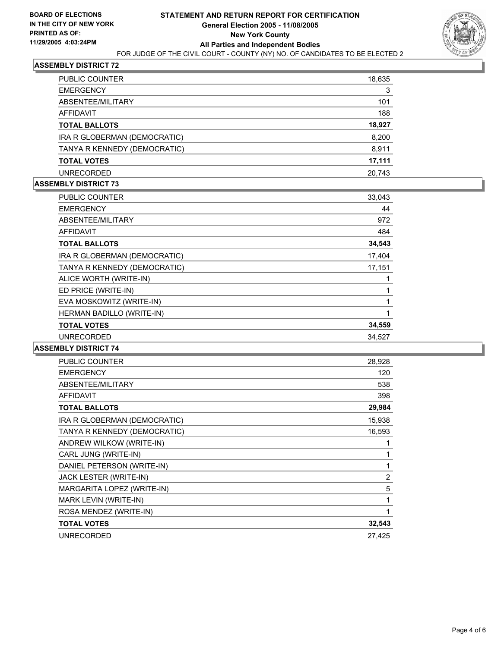

| PUBLIC COUNTER               | 18,635 |
|------------------------------|--------|
| <b>EMERGENCY</b>             | 3      |
| ABSENTEE/MILITARY            | 101    |
| AFFIDAVIT                    | 188    |
| <b>TOTAL BALLOTS</b>         | 18,927 |
| IRA R GLOBERMAN (DEMOCRATIC) | 8,200  |
| TANYA R KENNEDY (DEMOCRATIC) | 8,911  |
| <b>TOTAL VOTES</b>           | 17,111 |
| <b>UNRECORDED</b>            | 20.743 |

## **ASSEMBLY DISTRICT 73**

| <b>PUBLIC COUNTER</b>        | 33,043 |  |
|------------------------------|--------|--|
| <b>EMERGENCY</b>             | 44     |  |
| ABSENTEE/MILITARY            | 972    |  |
| AFFIDAVIT                    | 484    |  |
| <b>TOTAL BALLOTS</b>         | 34,543 |  |
| IRA R GLOBERMAN (DEMOCRATIC) | 17,404 |  |
| TANYA R KENNEDY (DEMOCRATIC) | 17,151 |  |
| ALICE WORTH (WRITE-IN)       |        |  |
| ED PRICE (WRITE-IN)          |        |  |
| EVA MOSKOWITZ (WRITE-IN)     |        |  |
| HERMAN BADILLO (WRITE-IN)    |        |  |
| <b>TOTAL VOTES</b>           | 34,559 |  |
| <b>UNRECORDED</b>            | 34,527 |  |

| PUBLIC COUNTER               | 28,928         |
|------------------------------|----------------|
| <b>EMERGENCY</b>             | 120            |
| ABSENTEE/MILITARY            | 538            |
| <b>AFFIDAVIT</b>             | 398            |
| <b>TOTAL BALLOTS</b>         | 29,984         |
| IRA R GLOBERMAN (DEMOCRATIC) | 15,938         |
| TANYA R KENNEDY (DEMOCRATIC) | 16,593         |
| ANDREW WILKOW (WRITE-IN)     |                |
| CARL JUNG (WRITE-IN)         |                |
| DANIEL PETERSON (WRITE-IN)   |                |
| JACK LESTER (WRITE-IN)       | $\overline{2}$ |
| MARGARITA LOPEZ (WRITE-IN)   | 5              |
| MARK LEVIN (WRITE-IN)        |                |
| ROSA MENDEZ (WRITE-IN)       |                |
| <b>TOTAL VOTES</b>           | 32,543         |
| <b>UNRECORDED</b>            | 27,425         |
|                              |                |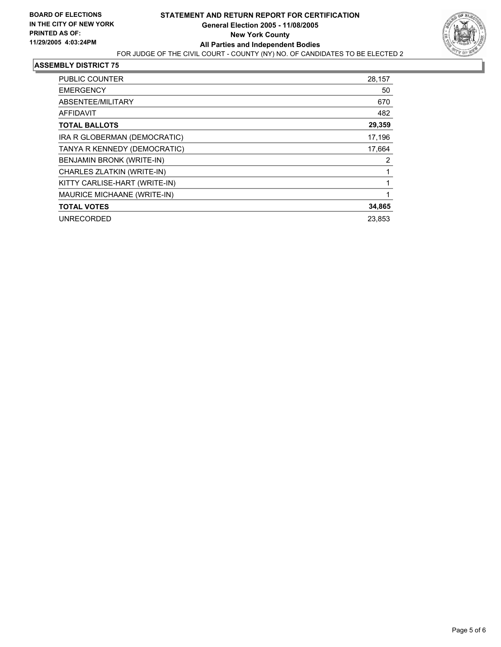

| PUBLIC COUNTER                | 28,157 |
|-------------------------------|--------|
| <b>EMERGENCY</b>              | 50     |
| ABSENTEE/MILITARY             | 670    |
| <b>AFFIDAVIT</b>              | 482    |
| <b>TOTAL BALLOTS</b>          | 29,359 |
| IRA R GLOBERMAN (DEMOCRATIC)  | 17,196 |
| TANYA R KENNEDY (DEMOCRATIC)  | 17,664 |
| BENJAMIN BRONK (WRITE-IN)     | 2      |
| CHARLES ZLATKIN (WRITE-IN)    |        |
| KITTY CARLISE-HART (WRITE-IN) |        |
| MAURICE MICHAANE (WRITE-IN)   |        |
| <b>TOTAL VOTES</b>            | 34,865 |
| <b>UNRECORDED</b>             | 23,853 |